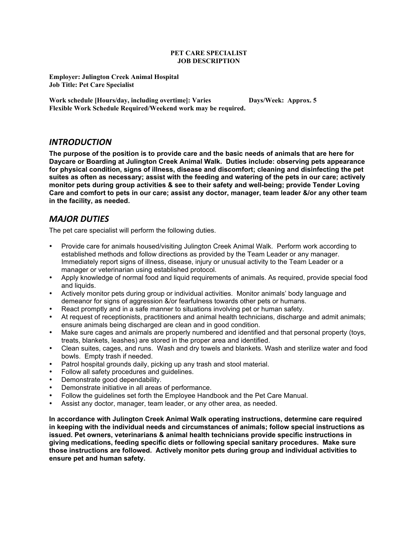#### **PET CARE SPECIALIST JOB DESCRIPTION**

**Employer: Julington Creek Animal Hospital Job Title: Pet Care Specialist**

**Work schedule [Hours/day, including overtime]: Varies Days/Week: Approx. 5 Flexible Work Schedule Required/Weekend work may be required.**

### *INTRODUCTION*

**The purpose of the position is to provide care and the basic needs of animals that are here for Daycare or Boarding at Julington Creek Animal Walk. Duties include: observing pets appearance for physical condition, signs of illness, disease and discomfort; cleaning and disinfecting the pet suites as often as necessary; assist with the feeding and watering of the pets in our care; actively monitor pets during group activities & see to their safety and well-being; provide Tender Loving Care and comfort to pets in our care; assist any doctor, manager, team leader &/or any other team in the facility, as needed.**

### **MAJOR DUTIES**

The pet care specialist will perform the following duties.

- Provide care for animals housed/visiting Julington Creek Animal Walk. Perform work according to established methods and follow directions as provided by the Team Leader or any manager. Immediately report signs of illness, disease, injury or unusual activity to the Team Leader or a manager or veterinarian using established protocol.
- Apply knowledge of normal food and liquid requirements of animals. As required, provide special food and liquids.
- Actively monitor pets during group or individual activities. Monitor animals' body language and demeanor for signs of aggression &/or fearfulness towards other pets or humans.
- React promptly and in a safe manner to situations involving pet or human safety.
- At request of receptionists, practitioners and animal health technicians, discharge and admit animals; ensure animals being discharged are clean and in good condition.
- Make sure cages and animals are properly numbered and identified and that personal property (toys, treats, blankets, leashes) are stored in the proper area and identified.
- Clean suites, cages, and runs. Wash and dry towels and blankets. Wash and sterilize water and food bowls. Empty trash if needed.
- Patrol hospital grounds daily, picking up any trash and stool material.
- Follow all safety procedures and guidelines.
- Demonstrate good dependability.
- Demonstrate initiative in all areas of performance.
- Follow the guidelines set forth the Employee Handbook and the Pet Care Manual.
- Assist any doctor, manager, team leader, or any other area, as needed.

**In accordance with Julington Creek Animal Walk operating instructions, determine care required in keeping with the individual needs and circumstances of animals; follow special instructions as issued. Pet owners, veterinarians & animal health technicians provide specific instructions in giving medications, feeding specific diets or following special sanitary procedures. Make sure those instructions are followed. Actively monitor pets during group and individual activities to ensure pet and human safety.**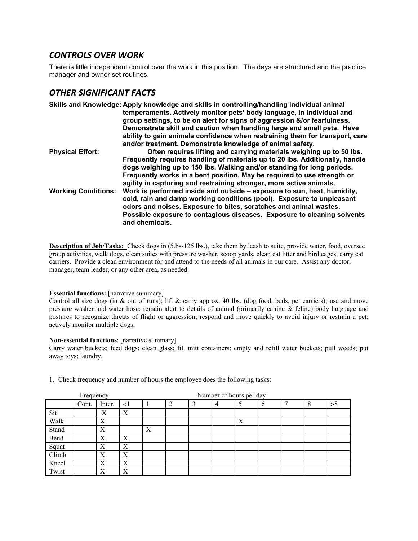## **CONTROLS OVER WORK**

There is little independent control over the work in this position. The days are structured and the practice manager and owner set routines.

# **OTHER SIGNIFICANT FACTS**

|                            | Skills and Knowledge: Apply knowledge and skills in controlling/handling individual animal<br>temperaments. Actively monitor pets' body language, in individual and<br>group settings, to be on alert for signs of aggression &/or fearfulness.<br>Demonstrate skill and caution when handling large and small pets. Have<br>ability to gain animals confidence when restraining them for transport, care<br>and/or treatment. Demonstrate knowledge of animal safety. |
|----------------------------|------------------------------------------------------------------------------------------------------------------------------------------------------------------------------------------------------------------------------------------------------------------------------------------------------------------------------------------------------------------------------------------------------------------------------------------------------------------------|
| <b>Physical Effort:</b>    | Often requires lifting and carrying materials weighing up to 50 lbs.<br>Frequently requires handling of materials up to 20 lbs. Additionally, handle<br>dogs weighing up to 150 lbs. Walking and/or standing for long periods.<br>Frequently works in a bent position. May be required to use strength or<br>agility in capturing and restraining stronger, more active animals.                                                                                       |
| <b>Working Conditions:</b> | Work is performed inside and outside – exposure to sun, heat, humidity,<br>cold, rain and damp working conditions (pool). Exposure to unpleasant<br>odors and noises. Exposure to bites, scratches and animal wastes.<br>Possible exposure to contagious diseases. Exposure to cleaning solvents<br>and chemicals.                                                                                                                                                     |

**Description of Job/Tasks:** Check dogs in (5.bs-125 lbs.), take them by leash to suite, provide water, food, oversee group activities, walk dogs, clean suites with pressure washer, scoop yards, clean cat litter and bird cages, carry cat carriers. Provide a clean environment for and attend to the needs of all animals in our care. Assist any doctor, manager, team leader, or any other area, as needed.

#### **Essential functions:** [narrative summary]

Control all size dogs (in & out of runs); lift & carry approx. 40 lbs. (dog food, beds, pet carriers); use and move pressure washer and water hose; remain alert to details of animal (primarily canine & feline) body language and postures to recognize threats of flight or aggression; respond and move quickly to avoid injury or restrain a pet; actively monitor multiple dogs.

#### **Non-essential functions**: [narrative summary]

Carry water buckets; feed dogs; clean glass; fill mitt containers; empty and refill water buckets; pull weeds; put away toys; laundry.

| Frequency |       |        | Number of hours per day |   |                |   |   |   |   |  |   |    |
|-----------|-------|--------|-------------------------|---|----------------|---|---|---|---|--|---|----|
|           | Cont. | Inter. | $\leq$ 1                |   | $\overline{2}$ | 3 | 4 |   | 6 |  | 8 | >8 |
| Sit       |       | Х      | Χ                       |   |                |   |   |   |   |  |   |    |
| Walk      |       | Х      |                         |   |                |   |   | X |   |  |   |    |
| Stand     |       | X      |                         | X |                |   |   |   |   |  |   |    |
| Bend      |       | Χ      | X                       |   |                |   |   |   |   |  |   |    |
| Squat     |       | Х      | Х                       |   |                |   |   |   |   |  |   |    |
| Climb     |       | X      | Χ                       |   |                |   |   |   |   |  |   |    |
| Kneel     |       | X      | $\boldsymbol{X}$        |   |                |   |   |   |   |  |   |    |
| Twist     |       | Х      | $\mathbf v$<br>л        |   |                |   |   |   |   |  |   |    |

1. Check frequency and number of hours the employee does the following tasks: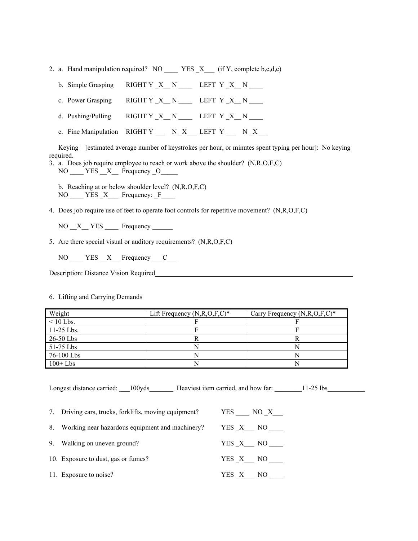- 2. a. Hand manipulation required? NO \_\_\_\_\_ YES  $_X$  (if Y, complete b,c,d,e)
	- b. Simple Grasping RIGHT Y  $X$  N \_\_\_\_\_ LEFT Y  $X$  N \_\_\_\_\_
	- c. Power Grasping RIGHT Y \_X\_\_ N \_\_\_\_ LEFT Y \_X\_\_ N \_\_\_\_
	- d. Pushing/Pulling  $RIGHT Y_X_N_N$  LEFT  $Y_X_N_N$
	- e. Fine Manipulation RIGHT Y \_\_\_ N \_X \_\_ LEFT Y \_\_\_ N \_X

Keying – [estimated average number of keystrokes per hour, or minutes spent typing per hour]: No keying required.

- 3. a. Does job require employee to reach or work above the shoulder? (N,R,O,F,C) NO \_\_\_\_ YES \_\_X\_\_ Frequency \_O\_\_\_\_\_
	- b. Reaching at or below shoulder level? (N,R,O,F,C)  $NO$   $YES$   $X$  Frequency:  $F$
- 4. Does job require use of feet to operate foot controls for repetitive movement? (N,R,O,F,C)

 $NO \_ X \_ \text{YES} \_ \text{Frequency}$ 

5. Are there special visual or auditory requirements? (N,R,O,F,C)

NO YES X Frequency C

Description: Distance Vision Required

6. Lifting and Carrying Demands

| Weight       | Lift Frequency $(N, R, O, F, C)^*$ | Carry Frequency $(N, R, O, F, C)^*$ |
|--------------|------------------------------------|-------------------------------------|
| $< 10$ Lbs.  |                                    |                                     |
| $11-25$ Lbs. |                                    |                                     |
| 26-50 Lbs    |                                    |                                     |
| 51-75 Lbs    |                                    |                                     |
| 76-100 Lbs   |                                    |                                     |
| $100+Lbs$    |                                    |                                     |

Longest distance carried: \_\_\_100yds \_\_\_\_\_\_\_\_ Heaviest item carried, and how far: \_\_\_\_\_\_\_\_11-25 lbs

| 7. Driving cars, trucks, forklifts, moving equipment? | YES NO X |
|-------------------------------------------------------|----------|
| 8. Working near hazardous equipment and machinery?    | YES X NO |
| 9. Walking on uneven ground?                          | YES X NO |
| 10. Exposure to dust, gas or fumes?                   | YES X NO |
| 11. Exposure to noise?                                | YES X NO |